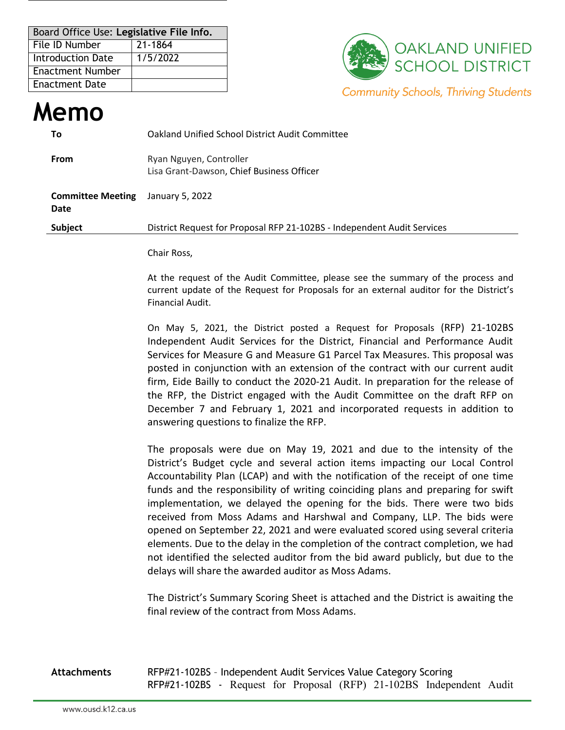| Board Office Use: Legislative File Info. |          |  |  |  |  |  |  |
|------------------------------------------|----------|--|--|--|--|--|--|
| l File ID Number                         | 21-1864  |  |  |  |  |  |  |
| Introduction Date                        | 1/5/2022 |  |  |  |  |  |  |
| <b>Enactment Number</b>                  |          |  |  |  |  |  |  |
| l Enactment Date                         |          |  |  |  |  |  |  |



## **Memo To** Oakland Unified School District Audit Committee **From** Ryan Nguyen, Controller Lisa Grant-Dawson, Chief Business Officer **Committee Meeting Date** January 5, 2022 **Subject** District Request for Proposal RFP 21-102BS - Independent Audit Services

## Chair Ross,

At the request of the Audit Committee, please see the summary of the process and current update of the Request for Proposals for an external auditor for the District's Financial Audit.

On May 5, 2021, the District posted a Request for Proposals (RFP) 21-102BS Independent Audit Services for the District, Financial and Performance Audit Services for Measure G and Measure G1 Parcel Tax Measures. This proposal was posted in conjunction with an extension of the contract with our current audit firm, Eide Bailly to conduct the 2020-21 Audit. In preparation for the release of the RFP, the District engaged with the Audit Committee on the draft RFP on December 7 and February 1, 2021 and incorporated requests in addition to answering questions to finalize the RFP.

The proposals were due on May 19, 2021 and due to the intensity of the District's Budget cycle and several action items impacting our Local Control Accountability Plan (LCAP) and with the notification of the receipt of one time funds and the responsibility of writing coinciding plans and preparing for swift implementation, we delayed the opening for the bids. There were two bids received from Moss Adams and Harshwal and Company, LLP. The bids were opened on September 22, 2021 and were evaluated scored using several criteria elements. Due to the delay in the completion of the contract completion, we had not identified the selected auditor from the bid award publicly, but due to the delays will share the awarded auditor as Moss Adams.

The District's Summary Scoring Sheet is attached and the District is awaiting the final review of the contract from Moss Adams.

**Attachments** RFP#21-102BS – Independent Audit Services Value Category Scoring RFP#21-102BS - Request for Proposal (RFP) 21-102BS Independent Audit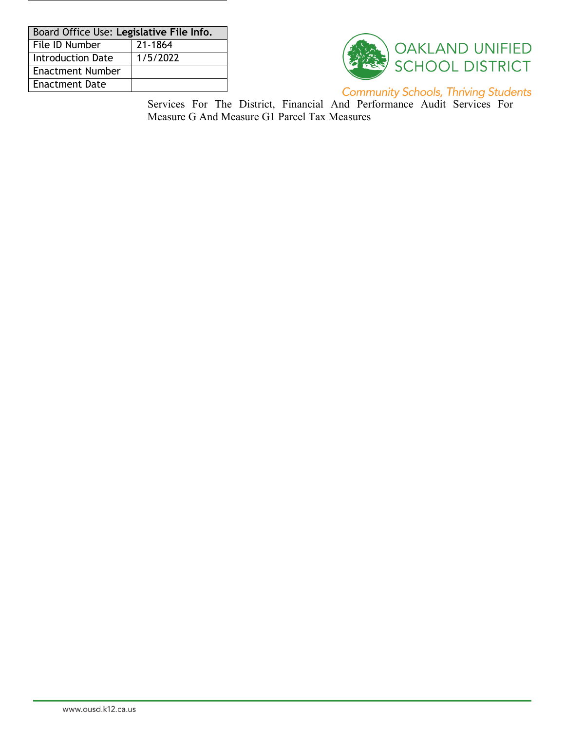| Board Office Use: Legislative File Info. |          |  |  |  |  |  |
|------------------------------------------|----------|--|--|--|--|--|
| File ID Number                           | 21-1864  |  |  |  |  |  |
| <b>Introduction Date</b>                 | 1/5/2022 |  |  |  |  |  |
| <b>Enactment Number</b>                  |          |  |  |  |  |  |
| <b>Enactment Date</b>                    |          |  |  |  |  |  |



**Community Schools, Thriving Students** 

Services For The District, Financial And Performance Audit Services For Measure G And Measure G1 Parcel Tax Measures